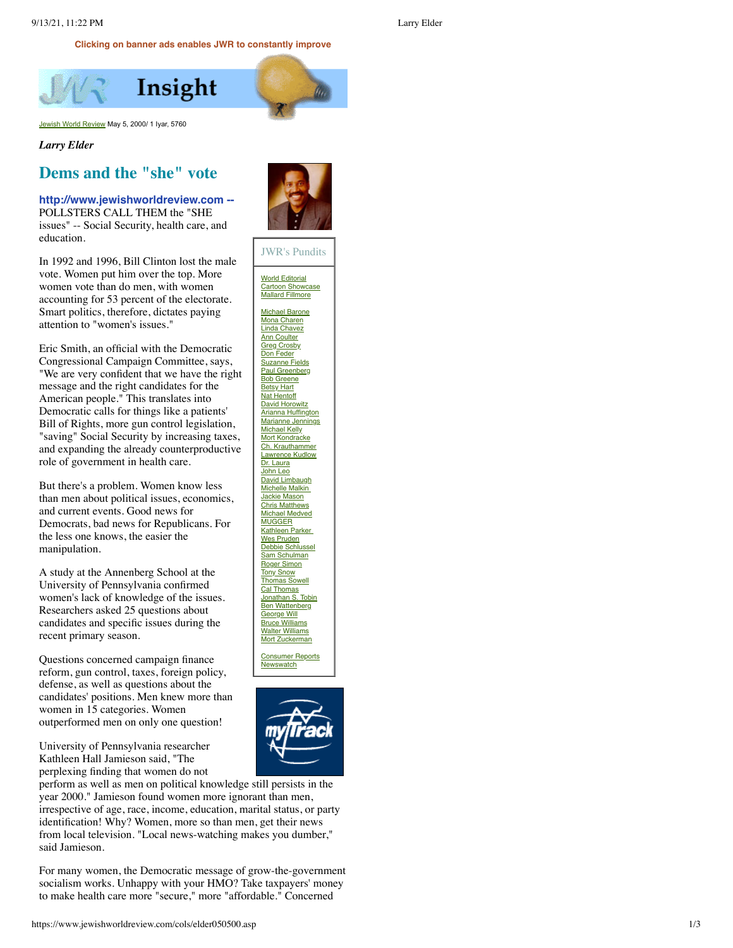**Clicking on banner ads enables JWR to constantly improve**

<span id="page-0-0"></span>Insight

[Jewish World Review](http://www.jewishworldreview.com/) May 5, 2000/ 1 Iyar, 5760

## *Larry Elder*

## **Dems and the "she" vote**

## **http://www.jewishworldreview.com --** POLLSTERS CALL THEM the "SHE issues" -- Social Security, health care, and education.

In 1992 and 1996, Bill Clinton lost the male vote. Women put him over the top. More women vote than do men, with women accounting for 53 percent of the electorate. Smart politics, therefore, dictates paying attention to "women's issues."

Eric Smith, an official with the Democratic Congressional Campaign Committee, says, "We are very con fident that we have the right message and the right candidates for the American people." This translates into Democratic calls for things like a patients' Bill of Rights, more gun control legislation, "saving" Social Security by increasing taxes, and expanding the already counterproductive role of government in health care.

But there's a problem. Women know less than men about political issues, economics, and current events. Good news for Democrats, bad news for Republicans. For the less one knows, the easier the manipulation.

A study at the Annenberg School at the University of Pennsylvania con firmed women's lack of knowledge of the issues. Researchers asked 25 questions about candidates and speci fic issues during the recent primary season.

Questions concerned campaign finance reform, gun control, taxes, foreign policy, defense, as well as questions about the candidates' positions. Men knew more than women in 15 categories. Women outperformed men on only one question!

University of Pennsylvania researcher Kathleen Hall Jamieson said, "The perplexing finding that women do not

perform as well as men on political knowledge still persists in the year 2000." Jamieson found women more ignorant than men, irrespective of age, race, income, education, marital status, or party identi fication! Why? Women, more so than men, get their news from local television. "Local news-watching makes you dumber," said Jamieson.

For many women, the Democratic message of grow-the-government socialism works. Unhappy with your HMO? Take taxpayers' money to make health care more "secure," more "affordable." Concerned





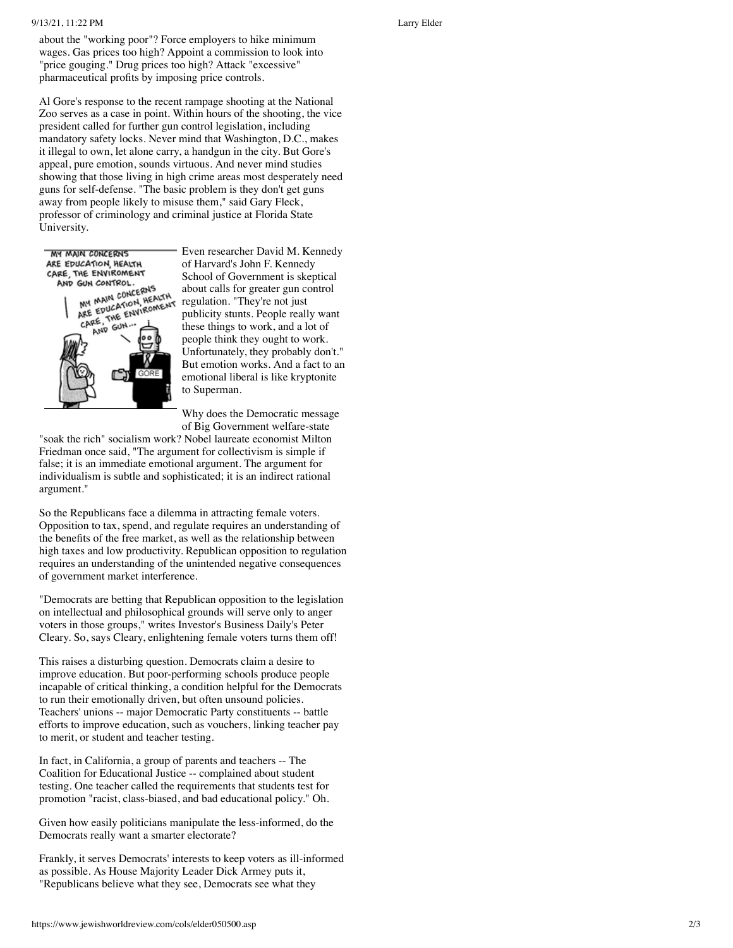## 9/13/21, 11:22 PM Larry Elder

about the "working poor"? Force employers to hike minimum wages. Gas prices too high? Appoint a commission to look into "price gouging." Drug prices too high? Attack "excessive" pharmaceutical pro fits by imposing price controls.

Al Gore's response to the recent rampage shooting at the National Zoo serves as a case in point. Within hours of the shooting, the vice president called for further gun control legislation, including mandatory safety locks. Never mind that Washington, D.C., makes it illegal to own, let alone carry, a handgun in the city. But Gore's appeal, pure emotion, sounds virtuous. And never mind studies showing that those living in high crime areas most desperately need guns for self-defense. "The basic problem is they don't get guns away from people likely to misuse them," said Gary Fleck, professor of criminology and criminal justice at Florida State University.



Even researcher David M. Kennedy of Harvard's John F. Kennedy School of Government is skeptical about calls for greater gun control regulation. "They're not just publicity stunts. People really want these things to work, and a lot of people think they ought to work. Unfortunately, they probably don't." But emotion works. And a fact to an emotional liberal is like kryptonite to Superman.

Why does the Democratic message of Big Government welfare-state

"soak the rich" socialism work? Nobel laureate economist Milton Friedman once said, "The argument for collectivism is simple if false; it is an immediate emotional argument. The argument for individualism is subtle and sophisticated; it is an indirect rational argument."

So the Republicans face a dilemma in attracting female voters. Opposition to tax, spend, and regulate requires an understanding of the bene fits of the free market, as well as the relationship between high taxes and low productivity. Republican opposition to regulation requires an understanding of the unintended negative consequences of government market interference.

"Democrats are betting that Republican opposition to the legislation on intellectual and philosophical grounds will serve only to anger voters in those groups," writes Investor's Business Daily's Peter Cleary. So, says Cleary, enlightening female voters turns them off!

This raises a disturbing question. Democrats claim a desire to improve education. But poor-performing schools produce people incapable of critical thinking, a condition helpful for the Democrats to run their emotionally driven, but often unsound policies. Teachers' unions -- major Democratic Party constituents -- battle efforts to improve education, such as vouchers, linking teacher pay to merit, or student and teacher testing.

In fact, in California, a group of parents and teachers -- The Coalition for Educational Justice -- complained about student testing. One teacher called the requirements that students test for promotion "racist, class-biased, and bad educational policy." Oh.

Given how easily politicians manipulate the less-informed, do the Democrats really want a smarter electorate?

Frankly, it serves Democrats' interests to keep voters as ill-informed as possible. As House Majority Leader Dick Armey puts it, "Republicans believe what they see, Democrats see what they